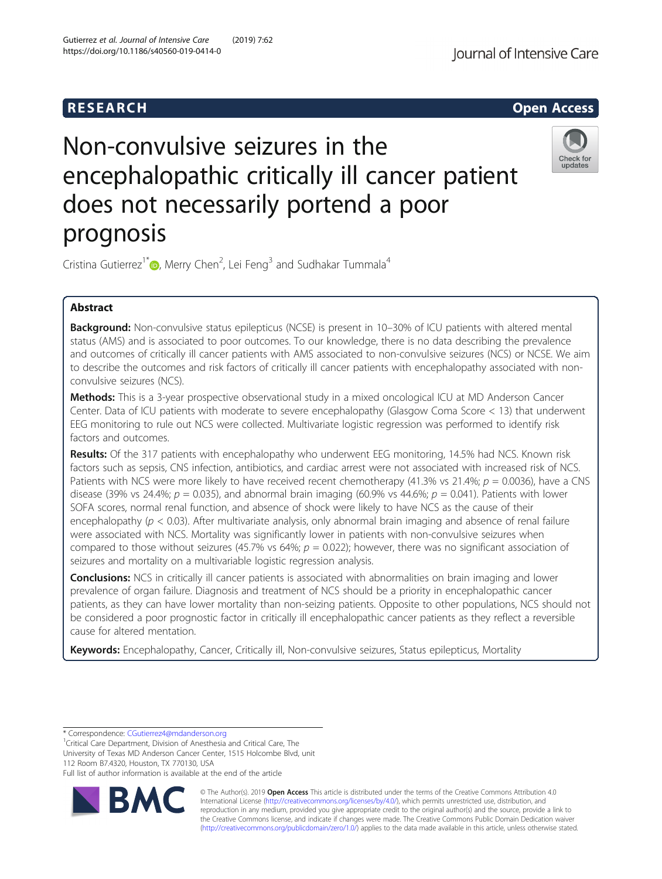# Non-convulsive seizures in the encephalopathic critically ill cancer patient does not necessarily portend a poor prognosis



Cristina Gutierrez<sup>1\*</sup> $\textsf{D}$ , Merry Chen<sup>2</sup>, Lei Feng<sup>3</sup> and Sudhakar Tummala<sup>4</sup>

# Abstract

Background: Non-convulsive status epilepticus (NCSE) is present in 10-30% of ICU patients with altered mental status (AMS) and is associated to poor outcomes. To our knowledge, there is no data describing the prevalence and outcomes of critically ill cancer patients with AMS associated to non-convulsive seizures (NCS) or NCSE. We aim to describe the outcomes and risk factors of critically ill cancer patients with encephalopathy associated with nonconvulsive seizures (NCS).

**Methods:** This is a 3-year prospective observational study in a mixed oncological ICU at MD Anderson Cancer Center. Data of ICU patients with moderate to severe encephalopathy (Glasgow Coma Score < 13) that underwent EEG monitoring to rule out NCS were collected. Multivariate logistic regression was performed to identify risk factors and outcomes.

Results: Of the 317 patients with encephalopathy who underwent EEG monitoring, 14.5% had NCS. Known risk factors such as sepsis, CNS infection, antibiotics, and cardiac arrest were not associated with increased risk of NCS. Patients with NCS were more likely to have received recent chemotherapy (41.3% vs 21.4%;  $p = 0.0036$ ), have a CNS disease (39% vs 24.4%;  $p = 0.035$ ), and abnormal brain imaging (60.9% vs 44.6%;  $p = 0.041$ ). Patients with lower SOFA scores, normal renal function, and absence of shock were likely to have NCS as the cause of their encephalopathy ( $p < 0.03$ ). After multivariate analysis, only abnormal brain imaging and absence of renal failure were associated with NCS. Mortality was significantly lower in patients with non-convulsive seizures when compared to those without seizures (45.7% vs 64%;  $p = 0.022$ ); however, there was no significant association of seizures and mortality on a multivariable logistic regression analysis.

**Conclusions:** NCS in critically ill cancer patients is associated with abnormalities on brain imaging and lower prevalence of organ failure. Diagnosis and treatment of NCS should be a priority in encephalopathic cancer patients, as they can have lower mortality than non-seizing patients. Opposite to other populations, NCS should not be considered a poor prognostic factor in critically ill encephalopathic cancer patients as they reflect a reversible cause for altered mentation.

Keywords: Encephalopathy, Cancer, Critically ill, Non-convulsive seizures, Status epilepticus, Mortality

\* Correspondence: [CGutierrez4@mdanderson.org](mailto:CGutierrez4@mdanderson.org) <sup>1</sup>

<sup>1</sup>Critical Care Department, Division of Anesthesia and Critical Care, The University of Texas MD Anderson Cancer Center, 1515 Holcombe Blvd, unit 112 Room B7.4320, Houston, TX 770130, USA

Full list of author information is available at the end of the article



© The Author(s). 2019 **Open Access** This article is distributed under the terms of the Creative Commons Attribution 4.0 International License [\(http://creativecommons.org/licenses/by/4.0/](http://creativecommons.org/licenses/by/4.0/)), which permits unrestricted use, distribution, and reproduction in any medium, provided you give appropriate credit to the original author(s) and the source, provide a link to the Creative Commons license, and indicate if changes were made. The Creative Commons Public Domain Dedication waiver [\(http://creativecommons.org/publicdomain/zero/1.0/](http://creativecommons.org/publicdomain/zero/1.0/)) applies to the data made available in this article, unless otherwise stated.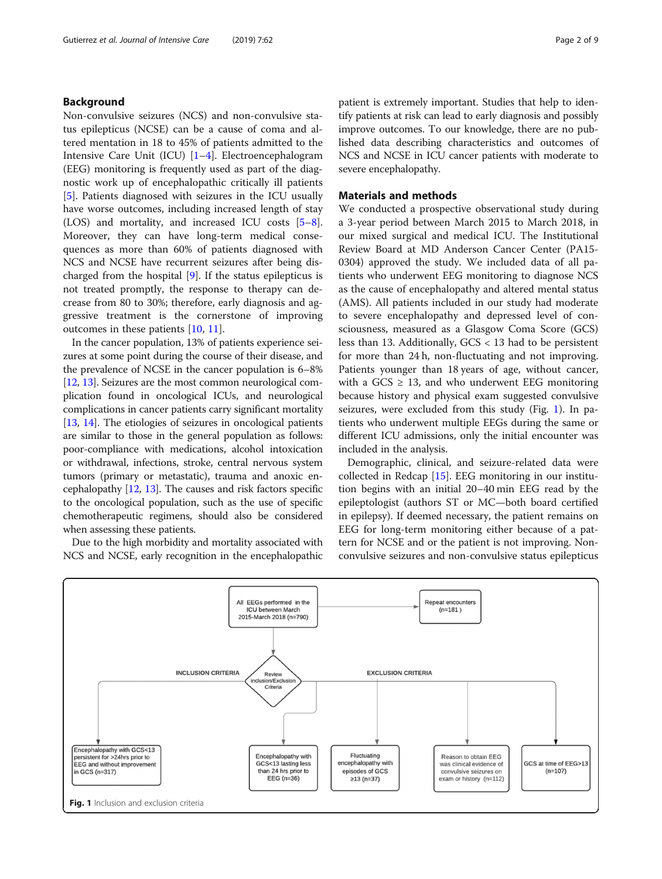# Background

Non-convulsive seizures (NCS) and non-convulsive status epilepticus (NCSE) can be a cause of coma and altered mentation in 18 to 45% of patients admitted to the Intensive Care Unit (ICU) [\[1](#page-7-0)–[4](#page-7-0)]. Electroencephalogram (EEG) monitoring is frequently used as part of the diagnostic work up of encephalopathic critically ill patients [[5\]](#page-7-0). Patients diagnosed with seizures in the ICU usually have worse outcomes, including increased length of stay (LOS) and mortality, and increased ICU costs [\[5](#page-7-0)–[8](#page-7-0)]. Moreover, they can have long-term medical consequences as more than 60% of patients diagnosed with NCS and NCSE have recurrent seizures after being discharged from the hospital [[9](#page-7-0)]. If the status epilepticus is not treated promptly, the response to therapy can decrease from 80 to 30%; therefore, early diagnosis and aggressive treatment is the cornerstone of improving outcomes in these patients [\[10](#page-7-0), [11\]](#page-7-0).

In the cancer population, 13% of patients experience seizures at some point during the course of their disease, and the prevalence of NCSE in the cancer population is 6–8% [[12](#page-7-0), [13\]](#page-7-0). Seizures are the most common neurological complication found in oncological ICUs, and neurological complications in cancer patients carry significant mortality [[13](#page-7-0), [14](#page-7-0)]. The etiologies of seizures in oncological patients are similar to those in the general population as follows: poor-compliance with medications, alcohol intoxication or withdrawal, infections, stroke, central nervous system tumors (primary or metastatic), trauma and anoxic encephalopathy [[12](#page-7-0), [13\]](#page-7-0). The causes and risk factors specific to the oncological population, such as the use of specific chemotherapeutic regimens, should also be considered when assessing these patients.

Due to the high morbidity and mortality associated with NCS and NCSE, early recognition in the encephalopathic patient is extremely important. Studies that help to identify patients at risk can lead to early diagnosis and possibly improve outcomes. To our knowledge, there are no published data describing characteristics and outcomes of NCS and NCSE in ICU cancer patients with moderate to severe encephalopathy.

# Materials and methods

We conducted a prospective observational study during a 3-year period between March 2015 to March 2018, in our mixed surgical and medical ICU. The Institutional Review Board at MD Anderson Cancer Center (PA15- 0304) approved the study. We included data of all patients who underwent EEG monitoring to diagnose NCS as the cause of encephalopathy and altered mental status (AMS). All patients included in our study had moderate to severe encephalopathy and depressed level of consciousness, measured as a Glasgow Coma Score (GCS) less than 13. Additionally, GCS < 13 had to be persistent for more than 24 h, non-fluctuating and not improving. Patients younger than 18 years of age, without cancer, with a GCS  $\geq$  13, and who underwent EEG monitoring because history and physical exam suggested convulsive seizures, were excluded from this study (Fig. 1). In patients who underwent multiple EEGs during the same or different ICU admissions, only the initial encounter was included in the analysis.

Demographic, clinical, and seizure-related data were collected in Redcap [\[15](#page-7-0)]. EEG monitoring in our institution begins with an initial 20–40 min EEG read by the epileptologist (authors ST or MC—both board certified in epilepsy). If deemed necessary, the patient remains on EEG for long-term monitoring either because of a pattern for NCSE and or the patient is not improving. Nonconvulsive seizures and non-convulsive status epilepticus

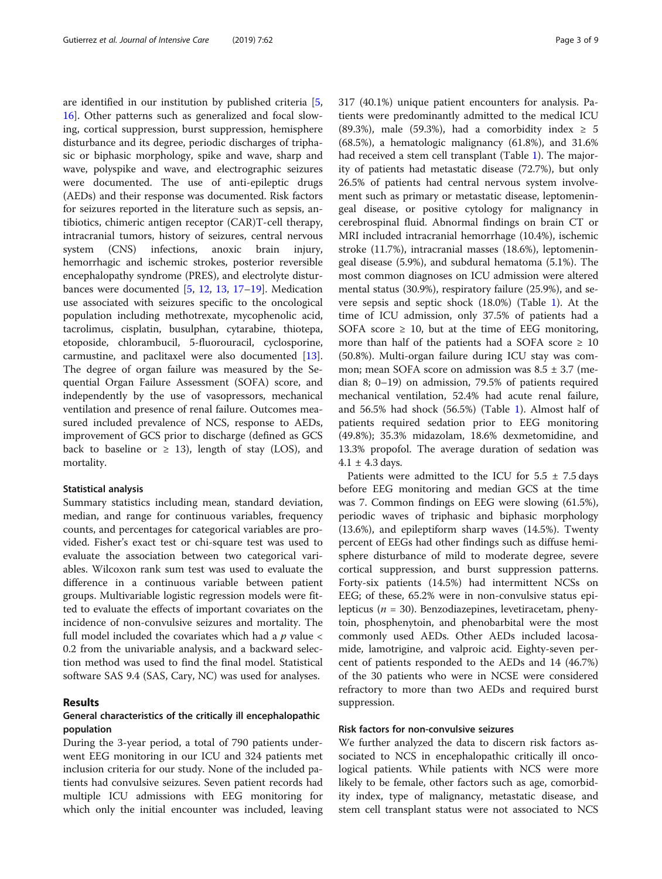are identified in our institution by published criteria [\[5](#page-7-0), [16\]](#page-7-0). Other patterns such as generalized and focal slowing, cortical suppression, burst suppression, hemisphere disturbance and its degree, periodic discharges of triphasic or biphasic morphology, spike and wave, sharp and wave, polyspike and wave, and electrographic seizures were documented. The use of anti-epileptic drugs (AEDs) and their response was documented. Risk factors for seizures reported in the literature such as sepsis, antibiotics, chimeric antigen receptor (CAR)T-cell therapy, intracranial tumors, history of seizures, central nervous system (CNS) infections, anoxic brain injury, hemorrhagic and ischemic strokes, posterior reversible encephalopathy syndrome (PRES), and electrolyte disturbances were documented [\[5](#page-7-0), [12,](#page-7-0) [13](#page-7-0), [17](#page-7-0)–[19](#page-7-0)]. Medication use associated with seizures specific to the oncological population including methotrexate, mycophenolic acid, tacrolimus, cisplatin, busulphan, cytarabine, thiotepa, etoposide, chlorambucil, 5-fluorouracil, cyclosporine, carmustine, and paclitaxel were also documented [\[13](#page-7-0)]. The degree of organ failure was measured by the Sequential Organ Failure Assessment (SOFA) score, and independently by the use of vasopressors, mechanical ventilation and presence of renal failure. Outcomes measured included prevalence of NCS, response to AEDs, improvement of GCS prior to discharge (defined as GCS back to baseline or  $\geq$  13), length of stay (LOS), and mortality.

### Statistical analysis

Summary statistics including mean, standard deviation, median, and range for continuous variables, frequency counts, and percentages for categorical variables are provided. Fisher's exact test or chi-square test was used to evaluate the association between two categorical variables. Wilcoxon rank sum test was used to evaluate the difference in a continuous variable between patient groups. Multivariable logistic regression models were fitted to evaluate the effects of important covariates on the incidence of non-convulsive seizures and mortality. The full model included the covariates which had a  $p$  value  $\lt$ 0.2 from the univariable analysis, and a backward selection method was used to find the final model. Statistical software SAS 9.4 (SAS, Cary, NC) was used for analyses.

### Results

# General characteristics of the critically ill encephalopathic population

During the 3-year period, a total of 790 patients underwent EEG monitoring in our ICU and 324 patients met inclusion criteria for our study. None of the included patients had convulsive seizures. Seven patient records had multiple ICU admissions with EEG monitoring for which only the initial encounter was included, leaving 317 (40.1%) unique patient encounters for analysis. Patients were predominantly admitted to the medical ICU (89.3%), male (59.3%), had a comorbidity index  $\geq 5$ (68.5%), a hematologic malignancy (61.8%), and 31.6% had received a stem cell transplant (Table [1\)](#page-3-0). The majority of patients had metastatic disease (72.7%), but only 26.5% of patients had central nervous system involvement such as primary or metastatic disease, leptomeningeal disease, or positive cytology for malignancy in cerebrospinal fluid. Abnormal findings on brain CT or MRI included intracranial hemorrhage (10.4%), ischemic stroke (11.7%), intracranial masses (18.6%), leptomeningeal disease (5.9%), and subdural hematoma (5.1%). The most common diagnoses on ICU admission were altered mental status (30.9%), respiratory failure (25.9%), and severe sepsis and septic shock (18.0%) (Table [1\)](#page-3-0). At the time of ICU admission, only 37.5% of patients had a SOFA score  $\geq$  10, but at the time of EEG monitoring, more than half of the patients had a SOFA score  $\geq 10$ (50.8%). Multi-organ failure during ICU stay was common; mean SOFA score on admission was  $8.5 \pm 3.7$  (median 8; 0–19) on admission, 79.5% of patients required mechanical ventilation, 52.4% had acute renal failure, and 56.5% had shock (56.5%) (Table [1\)](#page-3-0). Almost half of patients required sedation prior to EEG monitoring (49.8%); 35.3% midazolam, 18.6% dexmetomidine, and 13.3% propofol. The average duration of sedation was  $4.1 \pm 4.3$  days.

Patients were admitted to the ICU for  $5.5 \pm 7.5$  days before EEG monitoring and median GCS at the time was 7. Common findings on EEG were slowing (61.5%), periodic waves of triphasic and biphasic morphology (13.6%), and epileptiform sharp waves (14.5%). Twenty percent of EEGs had other findings such as diffuse hemisphere disturbance of mild to moderate degree, severe cortical suppression, and burst suppression patterns. Forty-six patients (14.5%) had intermittent NCSs on EEG; of these, 65.2% were in non-convulsive status epilepticus ( $n = 30$ ). Benzodiazepines, levetiracetam, phenytoin, phosphenytoin, and phenobarbital were the most commonly used AEDs. Other AEDs included lacosamide, lamotrigine, and valproic acid. Eighty-seven percent of patients responded to the AEDs and 14 (46.7%) of the 30 patients who were in NCSE were considered refractory to more than two AEDs and required burst suppression.

# Risk factors for non-convulsive seizures

We further analyzed the data to discern risk factors associated to NCS in encephalopathic critically ill oncological patients. While patients with NCS were more likely to be female, other factors such as age, comorbidity index, type of malignancy, metastatic disease, and stem cell transplant status were not associated to NCS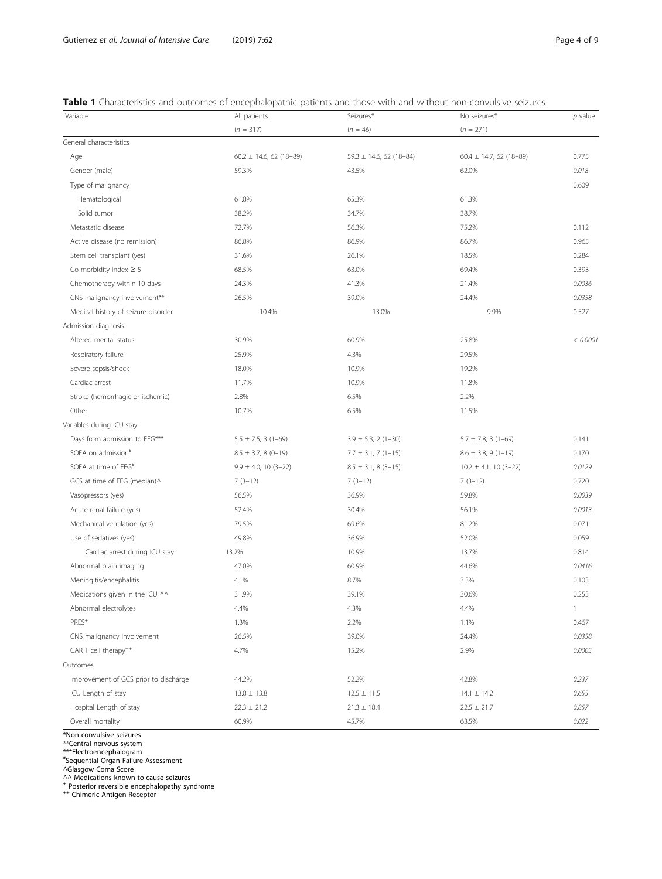<span id="page-3-0"></span>

| Table 1 Characteristics and outcomes of encephalopathic patients and those with and without non-convulsive seizures |  |  |  |  |
|---------------------------------------------------------------------------------------------------------------------|--|--|--|--|
|                                                                                                                     |  |  |  |  |

| Variable                              | All patients                | Seizures*                   | No seizures*                | $p$ value |
|---------------------------------------|-----------------------------|-----------------------------|-----------------------------|-----------|
|                                       | $(n = 317)$                 | $(n = 46)$                  | $(n = 271)$                 |           |
| General characteristics               |                             |                             |                             |           |
| Age                                   | $60.2 \pm 14.6, 62$ (18-89) | $59.3 \pm 14.6, 62$ (18-84) | $60.4 \pm 14.7, 62$ (18-89) | 0.775     |
| Gender (male)                         | 59.3%                       | 43.5%                       | 62.0%                       | 0.018     |
| Type of malignancy                    |                             |                             |                             | 0.609     |
| Hematological                         | 61.8%                       | 65.3%                       | 61.3%                       |           |
| Solid tumor                           | 38.2%                       | 34.7%                       | 38.7%                       |           |
| Metastatic disease                    | 72.7%                       | 56.3%                       | 75.2%                       | 0.112     |
| Active disease (no remission)         | 86.8%                       | 86.9%                       | 86.7%                       | 0.965     |
| Stem cell transplant (yes)            | 31.6%                       | 26.1%                       | 18.5%                       | 0.284     |
| Co-morbidity index $\geq$ 5           | 68.5%                       | 63.0%                       | 69.4%                       | 0.393     |
| Chemotherapy within 10 days           | 24.3%                       | 41.3%                       | 21.4%                       | 0.0036    |
| CNS malignancy involvement**          | 26.5%                       | 39.0%                       | 24.4%                       | 0.0358    |
| Medical history of seizure disorder   | 10.4%                       | 13.0%                       | 9.9%                        | 0.527     |
| Admission diagnosis                   |                             |                             |                             |           |
| Altered mental status                 | 30.9%                       | 60.9%                       | 25.8%                       | < 0.0001  |
| Respiratory failure                   | 25.9%                       | 4.3%                        | 29.5%                       |           |
| Severe sepsis/shock                   | 18.0%                       | 10.9%                       | 19.2%                       |           |
| Cardiac arrest                        | 11.7%                       | 10.9%                       | 11.8%                       |           |
| Stroke (hemorrhagic or ischemic)      | 2.8%                        | 6.5%                        | 2.2%                        |           |
| Other                                 | 10.7%                       | 6.5%                        | 11.5%                       |           |
| Variables during ICU stay             |                             |                             |                             |           |
| Days from admission to EEG***         | $5.5 \pm 7.5$ , 3 (1-69)    | $3.9 \pm 5.3$ , 2 (1-30)    | $5.7 \pm 7.8$ , 3 (1-69)    | 0.141     |
| SOFA on admission <sup>#</sup>        | $8.5 \pm 3.7, 8 (0 - 19)$   | $7.7 \pm 3.1, 7(1-15)$      | $8.6 \pm 3.8, 9(1-19)$      | 0.170     |
| SOFA at time of EEG <sup>#</sup>      | $9.9 \pm 4.0$ , 10 (3-22)   | $8.5 \pm 3.1, 8(3-15)$      | $10.2 \pm 4.1, 10 (3 - 22)$ | 0.0129    |
| GCS at time of EEG (median)^          | $7(3-12)$                   | $7(3-12)$                   | $7(3-12)$                   | 0.720     |
| Vasopressors (yes)                    | 56.5%                       | 36.9%                       | 59.8%                       | 0.0039    |
| Acute renal failure (yes)             | 52.4%                       | 30.4%                       | 56.1%                       | 0.0013    |
| Mechanical ventilation (yes)          | 79.5%                       | 69.6%                       | 81.2%                       | 0.071     |
| Use of sedatives (yes)                | 49.8%                       | 36.9%                       | 52.0%                       | 0.059     |
| Cardiac arrest during ICU stay        | 13.2%                       | 10.9%                       | 13.7%                       | 0.814     |
| Abnormal brain imaging                | 47.0%                       | 60.9%                       | 44.6%                       | 0.0416    |
| Meningitis/encephalitis               | 4.1%                        | 8.7%                        | 3.3%                        | 0.103     |
| Medications given in the ICU ^^       | 31.9%                       | 39.1%                       | 30.6%                       | 0.253     |
| Abnormal electrolytes                 | 4.4%                        | 4.3%                        | 4.4%                        | 1         |
| PRES <sup>+</sup>                     | 1.3%                        | 2.2%                        | 1.1%                        | 0.467     |
| CNS malignancy involvement            | 26.5%                       | 39.0%                       | 24.4%                       | 0.0358    |
| CAR T cell therapy <sup>++</sup>      | 4.7%                        | 15.2%                       | 2.9%                        | 0.0003    |
| Outcomes                              |                             |                             |                             |           |
| Improvement of GCS prior to discharge | 44.2%                       | 52.2%                       | 42.8%                       | 0.237     |
| ICU Length of stay                    | $13.8 \pm 13.8$             | $12.5 \pm 11.5$             | $14.1 \pm 14.2$             | 0.655     |
| Hospital Length of stay               | $22.3 \pm 21.2$             | $21.3 \pm 18.4$             | $22.5 \pm 21.7$             | 0.857     |
| Overall mortality                     | 60.9%                       | 45.7%                       | 63.5%                       | 0.022     |

\*Non-convulsive seizures<br>\*\*Central nervous system<br>\*\*\*Electroencephalogram<br>"sequential Organ Failure Assessment<br>^Glasgow Coma Score<br>^\* Osterior reversible encephalopathy syndrome<br>\*\* Chimeric Antigen Receptor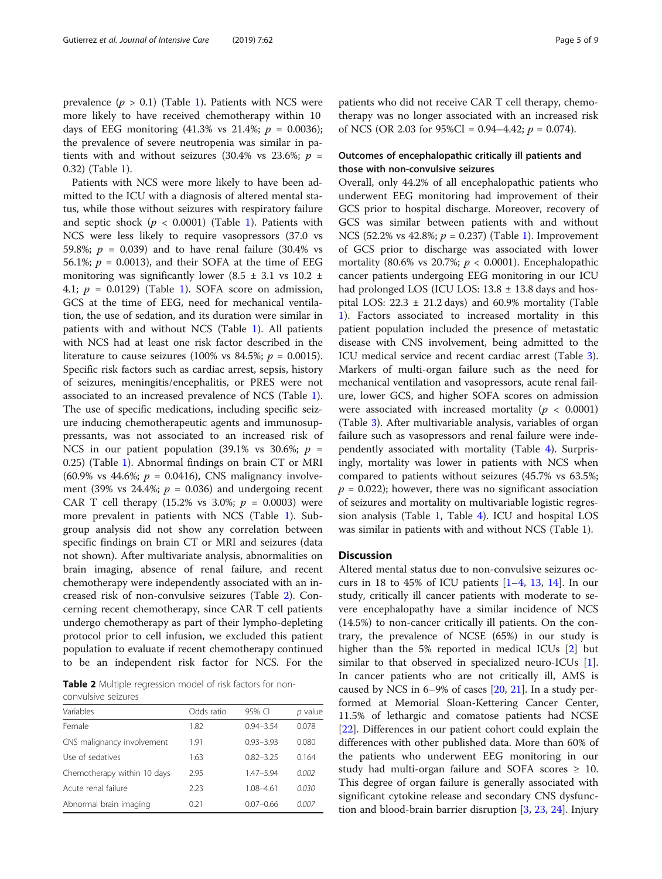prevalence  $(p > 0.1)$  $(p > 0.1)$  $(p > 0.1)$  (Table 1). Patients with NCS were more likely to have received chemotherapy within 10 days of EEG monitoring  $(41.3\% \text{ vs } 21.4\%; p = 0.0036);$ the prevalence of severe neutropenia was similar in patients with and without seizures (30.4% vs 23.6%;  $p =$ 0.32) (Table [1\)](#page-3-0).

Patients with NCS were more likely to have been admitted to the ICU with a diagnosis of altered mental status, while those without seizures with respiratory failure and septic shock  $(p < 0.0001)$  $(p < 0.0001)$  (Table 1). Patients with NCS were less likely to require vasopressors (37.0 vs 59.8%;  $p = 0.039$ ) and to have renal failure (30.4% vs 56.1%;  $p = 0.0013$ ), and their SOFA at the time of EEG monitoring was significantly lower (8.5  $\pm$  3.1 vs 10.2  $\pm$ 4.[1](#page-3-0);  $p = 0.0129$  (Table 1). SOFA score on admission, GCS at the time of EEG, need for mechanical ventilation, the use of sedation, and its duration were similar in patients with and without NCS (Table [1\)](#page-3-0). All patients with NCS had at least one risk factor described in the literature to cause seizures (100% vs 84.5%;  $p = 0.0015$ ). Specific risk factors such as cardiac arrest, sepsis, history of seizures, meningitis/encephalitis, or PRES were not associated to an increased prevalence of NCS (Table [1](#page-3-0)). The use of specific medications, including specific seizure inducing chemotherapeutic agents and immunosuppressants, was not associated to an increased risk of NCS in our patient population (39.1% vs 30.6%;  $p =$ 0.25) (Table [1\)](#page-3-0). Abnormal findings on brain CT or MRI (60.9% vs 44.6%;  $p = 0.0416$ ), CNS malignancy involvement (39% vs 24.4%;  $p = 0.036$ ) and undergoing recent CAR T cell therapy (15.2% vs 3.0%;  $p = 0.0003$ ) were more prevalent in patients with NCS (Table [1\)](#page-3-0). Subgroup analysis did not show any correlation between specific findings on brain CT or MRI and seizures (data not shown). After multivariate analysis, abnormalities on brain imaging, absence of renal failure, and recent chemotherapy were independently associated with an increased risk of non-convulsive seizures (Table 2). Concerning recent chemotherapy, since CAR T cell patients undergo chemotherapy as part of their lympho-depleting protocol prior to cell infusion, we excluded this patient population to evaluate if recent chemotherapy continued to be an independent risk factor for NCS. For the

Table 2 Multiple regression model of risk factors for nonconvulsive seizures

| Variables                   | Odds ratio | 95% CI        | $p$ value |
|-----------------------------|------------|---------------|-----------|
| Female                      | 1.82       | $0.94 - 3.54$ | 0.078     |
| CNS malignancy involvement  | 1.91       | $0.93 - 3.93$ | 0.080     |
| Use of sedatives            | 1.63       | $0.82 - 3.25$ | 0.164     |
| Chemotherapy within 10 days | 2.95       | $1.47 - 5.94$ | 0.002     |
| Acute renal failure         | 2.23       | 108-461       | 0.030     |
| Abnormal brain imaging      | 0.21       | $0.07 - 0.66$ | 0.007     |

patients who did not receive CAR T cell therapy, chemotherapy was no longer associated with an increased risk of NCS (OR 2.03 for  $95\%CI = 0.94 - 4.42$ ;  $p = 0.074$ ).

# Outcomes of encephalopathic critically ill patients and those with non-convulsive seizures

Overall, only 44.2% of all encephalopathic patients who underwent EEG monitoring had improvement of their GCS prior to hospital discharge. Moreover, recovery of GCS was similar between patients with and without NCS (52.2% vs 42.8%;  $p = 0.237$ ) (Table [1\)](#page-3-0). Improvement of GCS prior to discharge was associated with lower mortality (80.6% vs 20.7%;  $p < 0.0001$ ). Encephalopathic cancer patients undergoing EEG monitoring in our ICU had prolonged LOS (ICU LOS:  $13.8 \pm 13.8$  days and hospital LOS:  $22.3 \pm 21.2$  days) and 60.9% mortality (Table [1\)](#page-3-0). Factors associated to increased mortality in this patient population included the presence of metastatic disease with CNS involvement, being admitted to the ICU medical service and recent cardiac arrest (Table [3](#page-5-0)). Markers of multi-organ failure such as the need for mechanical ventilation and vasopressors, acute renal failure, lower GCS, and higher SOFA scores on admission were associated with increased mortality ( $p < 0.0001$ ) (Table [3](#page-5-0)). After multivariable analysis, variables of organ failure such as vasopressors and renal failure were independently associated with mortality (Table [4\)](#page-5-0). Surprisingly, mortality was lower in patients with NCS when compared to patients without seizures (45.7% vs 63.5%;  $p = 0.022$ ); however, there was no significant association of seizures and mortality on multivariable logistic regression analysis (Table [1](#page-3-0), Table [4](#page-5-0)). ICU and hospital LOS was similar in patients with and without NCS (Table 1).

# **Discussion**

Altered mental status due to non-convulsive seizures oc-curs in [1](#page-7-0)8 to [4](#page-7-0)5% of ICU patients  $[1-4, 13, 14]$  $[1-4, 13, 14]$  $[1-4, 13, 14]$  $[1-4, 13, 14]$ . In our study, critically ill cancer patients with moderate to severe encephalopathy have a similar incidence of NCS (14.5%) to non-cancer critically ill patients. On the contrary, the prevalence of NCSE (65%) in our study is higher than the 5% reported in medical ICUs [[2\]](#page-7-0) but similar to that observed in specialized neuro-ICUs [\[1](#page-7-0)]. In cancer patients who are not critically ill, AMS is caused by NCS in 6–9% of cases [[20](#page-7-0), [21](#page-8-0)]. In a study performed at Memorial Sloan-Kettering Cancer Center, 11.5% of lethargic and comatose patients had NCSE [[22\]](#page-8-0). Differences in our patient cohort could explain the differences with other published data. More than 60% of the patients who underwent EEG monitoring in our study had multi-organ failure and SOFA scores  $\geq$  10. This degree of organ failure is generally associated with significant cytokine release and secondary CNS dysfunction and blood-brain barrier disruption [\[3](#page-7-0), [23,](#page-8-0) [24\]](#page-8-0). Injury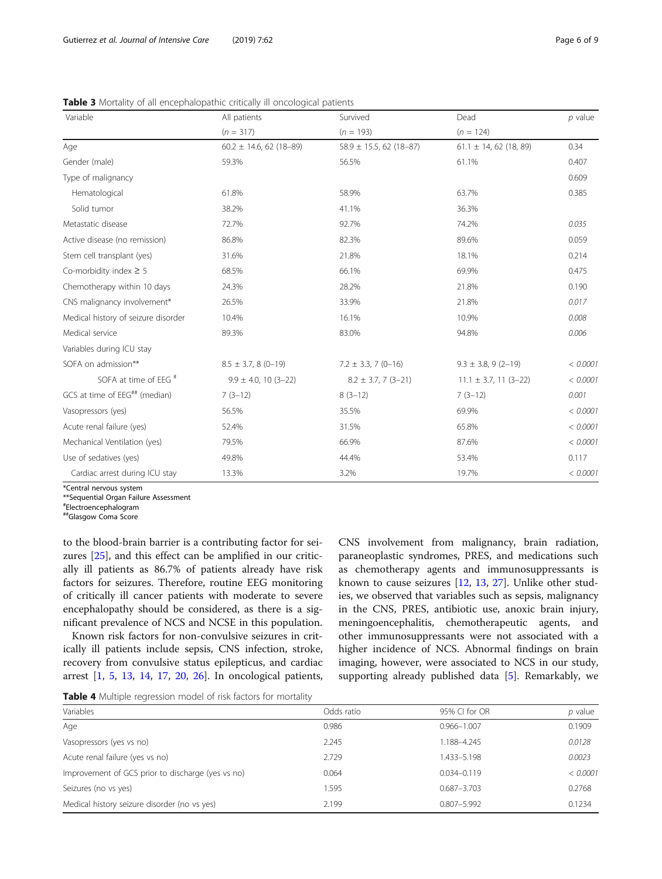| Variable                            | All patients                  | Survived                     | Dead                       | $p$ value |
|-------------------------------------|-------------------------------|------------------------------|----------------------------|-----------|
|                                     | $(n = 317)$                   | $(n = 193)$                  | $(n = 124)$                |           |
| Age                                 | $60.2 \pm 14.6, 62 (18 - 89)$ | $58.9 \pm 15.5$ , 62 (18-87) | $61.1 \pm 14, 62$ (18, 89) | 0.34      |
| Gender (male)                       | 59.3%                         | 56.5%                        | 61.1%                      | 0.407     |
| Type of malignancy                  |                               |                              |                            | 0.609     |
| Hematological                       | 61.8%                         | 58.9%                        | 63.7%                      | 0.385     |
| Solid tumor                         | 38.2%                         | 41.1%                        | 36.3%                      |           |
| Metastatic disease                  | 72.7%                         | 92.7%                        | 74.2%                      | 0.035     |
| Active disease (no remission)       | 86.8%                         | 82.3%                        | 89.6%                      | 0.059     |
| Stem cell transplant (yes)          | 31.6%                         | 21.8%                        | 18.1%                      | 0.214     |
| Co-morbidity index $\geq$ 5         | 68.5%                         | 66.1%                        | 69.9%                      | 0.475     |
| Chemotherapy within 10 days         | 24.3%                         | 28.2%                        | 21.8%                      | 0.190     |
| CNS malignancy involvement*         | 26.5%                         | 33.9%                        | 21.8%                      | 0.017     |
| Medical history of seizure disorder | 10.4%                         | 16.1%                        | 10.9%                      | 0.008     |
| Medical service                     | 89.3%                         | 83.0%                        | 94.8%                      | 0.006     |
| Variables during ICU stay           |                               |                              |                            |           |
| SOFA on admission**                 | $8.5 \pm 3.7, 8 (0 - 19)$     | $7.2 \pm 3.3, 7(0-16)$       | $9.3 \pm 3.8, 9(2-19)$     | < 0.0001  |
| SOFA at time of EEG <sup>#</sup>    | $9.9 \pm 4.0$ , 10 (3-22)     | $8.2 \pm 3.7, 7(3-21)$       | $11.1 \pm 3.7$ , 11 (3-22) | < 0.0001  |
| GCS at time of EEG## (median)       | $7(3-12)$                     | $8(3-12)$                    | $7(3-12)$                  | 0.001     |
| Vasopressors (yes)                  | 56.5%                         | 35.5%                        | 69.9%                      | < 0.0001  |
| Acute renal failure (yes)           | 52.4%                         | 31.5%                        | 65.8%                      | < 0.0001  |
| Mechanical Ventilation (yes)        | 79.5%                         | 66.9%                        | 87.6%                      | < 0.0001  |
| Use of sedatives (yes)              | 49.8%                         | 44.4%                        | 53.4%                      | 0.117     |
| Cardiac arrest during ICU stay      | 13.3%                         | 3.2%                         | 19.7%                      | < 0.0001  |

<span id="page-5-0"></span>Table 3 Mortality of all encephalopathic critically ill oncological patients

\*Central nervous system

\*\*Sequential Organ Failure Assessment

# Electroencephalogram

##Glasgow Coma Score

to the blood-brain barrier is a contributing factor for seizures [[25\]](#page-8-0), and this effect can be amplified in our critically ill patients as 86.7% of patients already have risk factors for seizures. Therefore, routine EEG monitoring of critically ill cancer patients with moderate to severe encephalopathy should be considered, as there is a significant prevalence of NCS and NCSE in this population.

Known risk factors for non-convulsive seizures in critically ill patients include sepsis, CNS infection, stroke, recovery from convulsive status epilepticus, and cardiac arrest [\[1](#page-7-0), [5](#page-7-0), [13](#page-7-0), [14](#page-7-0), [17](#page-7-0), [20,](#page-7-0) [26\]](#page-8-0). In oncological patients, CNS involvement from malignancy, brain radiation, paraneoplastic syndromes, PRES, and medications such as chemotherapy agents and immunosuppressants is known to cause seizures [\[12](#page-7-0), [13,](#page-7-0) [27](#page-8-0)]. Unlike other studies, we observed that variables such as sepsis, malignancy in the CNS, PRES, antibiotic use, anoxic brain injury, meningoencephalitis, chemotherapeutic agents, and other immunosuppressants were not associated with a higher incidence of NCS. Abnormal findings on brain imaging, however, were associated to NCS in our study, supporting already published data  $[5]$  $[5]$ . Remarkably, we

Table 4 Multiple regression model of risk factors for mortality

| Variables                                         | Odds ratio | 95% CL for OR   | $p$ value |
|---------------------------------------------------|------------|-----------------|-----------|
| Age                                               | 0.986      | $0.966 - 1.007$ | 0.1909    |
| Vasopressors (yes vs no)                          | 2.245      | 1.188-4.245     | 0.0128    |
| Acute renal failure (yes vs no)                   | 2.729      | 1.433-5.198     | 0.0023    |
| Improvement of GCS prior to discharge (yes vs no) | 0.064      | $0.034 - 0.119$ | < 0.0001  |
| Seizures (no vs yes)                              | 1.595      | $0.687 - 3.703$ | 0.2768    |
| Medical history seizure disorder (no vs yes)      | 2.199      | $0.807 - 5.992$ | 0.1234    |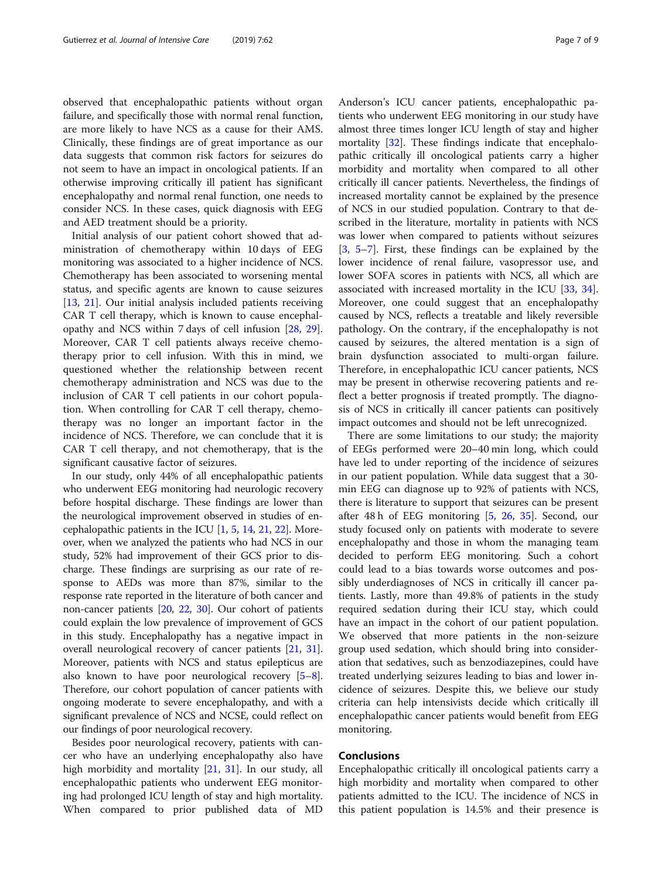observed that encephalopathic patients without organ failure, and specifically those with normal renal function, are more likely to have NCS as a cause for their AMS. Clinically, these findings are of great importance as our data suggests that common risk factors for seizures do not seem to have an impact in oncological patients. If an otherwise improving critically ill patient has significant encephalopathy and normal renal function, one needs to consider NCS. In these cases, quick diagnosis with EEG and AED treatment should be a priority.

Initial analysis of our patient cohort showed that administration of chemotherapy within 10 days of EEG monitoring was associated to a higher incidence of NCS. Chemotherapy has been associated to worsening mental status, and specific agents are known to cause seizures [[13,](#page-7-0) [21\]](#page-8-0). Our initial analysis included patients receiving CAR T cell therapy, which is known to cause encephalopathy and NCS within 7 days of cell infusion [\[28](#page-8-0), [29](#page-8-0)]. Moreover, CAR T cell patients always receive chemotherapy prior to cell infusion. With this in mind, we questioned whether the relationship between recent chemotherapy administration and NCS was due to the inclusion of CAR T cell patients in our cohort population. When controlling for CAR T cell therapy, chemotherapy was no longer an important factor in the incidence of NCS. Therefore, we can conclude that it is CAR T cell therapy, and not chemotherapy, that is the significant causative factor of seizures.

In our study, only 44% of all encephalopathic patients who underwent EEG monitoring had neurologic recovery before hospital discharge. These findings are lower than the neurological improvement observed in studies of encephalopathic patients in the ICU [\[1](#page-7-0), [5](#page-7-0), [14,](#page-7-0) [21](#page-8-0), [22\]](#page-8-0). Moreover, when we analyzed the patients who had NCS in our study, 52% had improvement of their GCS prior to discharge. These findings are surprising as our rate of response to AEDs was more than 87%, similar to the response rate reported in the literature of both cancer and non-cancer patients [\[20,](#page-7-0) [22,](#page-8-0) [30\]](#page-8-0). Our cohort of patients could explain the low prevalence of improvement of GCS in this study. Encephalopathy has a negative impact in overall neurological recovery of cancer patients [[21](#page-8-0), [31](#page-8-0)]. Moreover, patients with NCS and status epilepticus are also known to have poor neurological recovery [[5](#page-7-0)–[8](#page-7-0)]. Therefore, our cohort population of cancer patients with ongoing moderate to severe encephalopathy, and with a significant prevalence of NCS and NCSE, could reflect on our findings of poor neurological recovery.

Besides poor neurological recovery, patients with cancer who have an underlying encephalopathy also have high morbidity and mortality [\[21](#page-8-0), [31](#page-8-0)]. In our study, all encephalopathic patients who underwent EEG monitoring had prolonged ICU length of stay and high mortality. When compared to prior published data of MD

Anderson's ICU cancer patients, encephalopathic patients who underwent EEG monitoring in our study have almost three times longer ICU length of stay and higher mortality [[32\]](#page-8-0). These findings indicate that encephalopathic critically ill oncological patients carry a higher morbidity and mortality when compared to all other critically ill cancer patients. Nevertheless, the findings of increased mortality cannot be explained by the presence of NCS in our studied population. Contrary to that described in the literature, mortality in patients with NCS was lower when compared to patients without seizures [[3,](#page-7-0) [5](#page-7-0)–[7\]](#page-7-0). First, these findings can be explained by the lower incidence of renal failure, vasopressor use, and lower SOFA scores in patients with NCS, all which are associated with increased mortality in the ICU [[33](#page-8-0), [34](#page-8-0)]. Moreover, one could suggest that an encephalopathy caused by NCS, reflects a treatable and likely reversible pathology. On the contrary, if the encephalopathy is not caused by seizures, the altered mentation is a sign of brain dysfunction associated to multi-organ failure. Therefore, in encephalopathic ICU cancer patients, NCS may be present in otherwise recovering patients and reflect a better prognosis if treated promptly. The diagnosis of NCS in critically ill cancer patients can positively

There are some limitations to our study; the majority of EEGs performed were 20–40 min long, which could have led to under reporting of the incidence of seizures in our patient population. While data suggest that a 30 min EEG can diagnose up to 92% of patients with NCS, there is literature to support that seizures can be present after 48 h of EEG monitoring [[5](#page-7-0), [26](#page-8-0), [35\]](#page-8-0). Second, our study focused only on patients with moderate to severe encephalopathy and those in whom the managing team decided to perform EEG monitoring. Such a cohort could lead to a bias towards worse outcomes and possibly underdiagnoses of NCS in critically ill cancer patients. Lastly, more than 49.8% of patients in the study required sedation during their ICU stay, which could have an impact in the cohort of our patient population. We observed that more patients in the non-seizure group used sedation, which should bring into consideration that sedatives, such as benzodiazepines, could have treated underlying seizures leading to bias and lower incidence of seizures. Despite this, we believe our study criteria can help intensivists decide which critically ill encephalopathic cancer patients would benefit from EEG monitoring.

impact outcomes and should not be left unrecognized.

# **Conclusions**

Encephalopathic critically ill oncological patients carry a high morbidity and mortality when compared to other patients admitted to the ICU. The incidence of NCS in this patient population is 14.5% and their presence is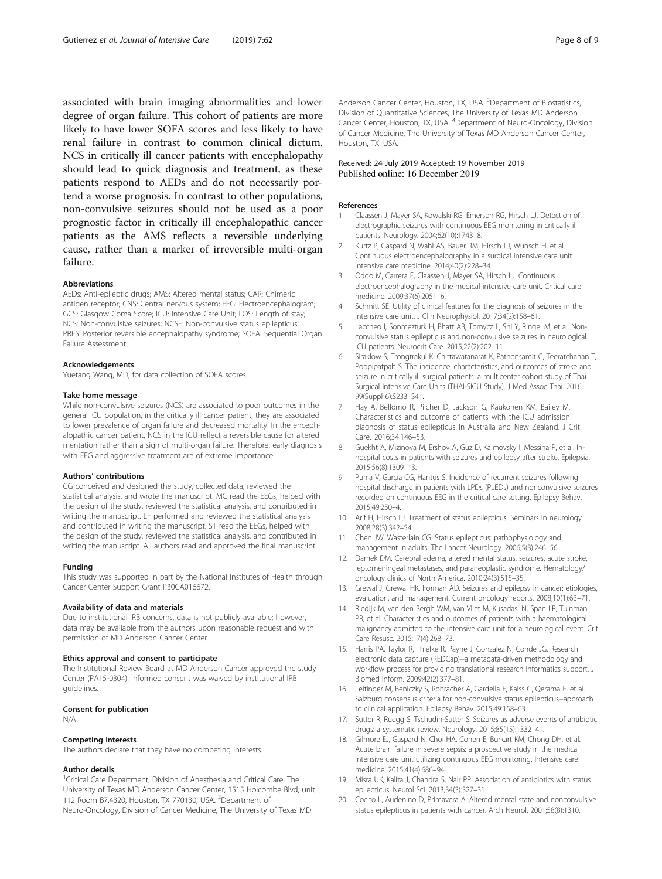<span id="page-7-0"></span>associated with brain imaging abnormalities and lower degree of organ failure. This cohort of patients are more likely to have lower SOFA scores and less likely to have renal failure in contrast to common clinical dictum. NCS in critically ill cancer patients with encephalopathy should lead to quick diagnosis and treatment, as these patients respond to AEDs and do not necessarily portend a worse prognosis. In contrast to other populations, non-convulsive seizures should not be used as a poor prognostic factor in critically ill encephalopathic cancer patients as the AMS reflects a reversible underlying cause, rather than a marker of irreversible multi-organ failure.

#### Abbreviations

AEDs: Anti-epileptic drugs; AMS: Altered mental status; CAR: Chimeric antigen receptor; CNS: Central nervous system; EEG: Electroencephalogram; GCS: Glasgow Coma Score; ICU: Intensive Care Unit; LOS: Length of stay; NCS: Non-convulsive seizures; NCSE: Non-convulsive status epilepticus; PRES: Posterior reversible encephalopathy syndrome; SOFA: Sequential Organ Failure Assessment

#### Acknowledgements

Yuetang Wang, MD, for data collection of SOFA scores.

#### Take home message

While non-convulsive seizures (NCS) are associated to poor outcomes in the general ICU population, in the critically ill cancer patient, they are associated to lower prevalence of organ failure and decreased mortality. In the encephalopathic cancer patient, NCS in the ICU reflect a reversible cause for altered mentation rather than a sign of multi-organ failure. Therefore, early diagnosis with EEG and aggressive treatment are of extreme importance.

#### Authors' contributions

CG conceived and designed the study, collected data, reviewed the statistical analysis, and wrote the manuscript. MC read the EEGs, helped with the design of the study, reviewed the statistical analysis, and contributed in writing the manuscript. LF performed and reviewed the statistical analysis and contributed in writing the manuscript. ST read the EEGs, helped with the design of the study, reviewed the statistical analysis, and contributed in writing the manuscript. All authors read and approved the final manuscript.

#### Funding

This study was supported in part by the National Institutes of Health through Cancer Center Support Grant P30CA016672.

#### Availability of data and materials

Due to institutional IRB concerns, data is not publicly available; however, data may be available from the authors upon reasonable request and with permission of MD Anderson Cancer Center.

#### Ethics approval and consent to participate

The Institutional Review Board at MD Anderson Cancer approved the study Center (PA15-0304). Informed consent was waived by institutional IRB guidelines.

# Consent for publication

N/A

#### Competing interests

The authors declare that they have no competing interests.

#### Author details

<sup>1</sup>Critical Care Department, Division of Anesthesia and Critical Care, The University of Texas MD Anderson Cancer Center, 1515 Holcombe Blvd, unit 112 Room B7.4320, Houston, TX 770130, USA. <sup>2</sup>Department of Neuro-Oncology, Division of Cancer Medicine, The University of Texas MD

Anderson Cancer Center, Houston, TX, USA. <sup>3</sup>Department of Biostatistics Division of Quantitative Sciences, The University of Texas MD Anderson Cancer Center, Houston, TX, USA. <sup>4</sup>Department of Neuro-Oncology, Division of Cancer Medicine, The University of Texas MD Anderson Cancer Center, Houston, TX, USA.

# Received: 24 July 2019 Accepted: 19 November 2019 Published online: 16 December 2019

### References

- 1. Claassen J, Mayer SA, Kowalski RG, Emerson RG, Hirsch LJ. Detection of electrographic seizures with continuous EEG monitoring in critically ill patients. Neurology. 2004;62(10):1743–8.
- 2. Kurtz P, Gaspard N, Wahl AS, Bauer RM, Hirsch LJ, Wunsch H, et al. Continuous electroencephalography in a surgical intensive care unit. Intensive care medicine. 2014;40(2):228–34.
- 3. Oddo M, Carrera E, Claassen J, Mayer SA, Hirsch LJ. Continuous electroencephalography in the medical intensive care unit. Critical care medicine. 2009;37(6):2051–6.
- 4. Schmitt SE. Utility of clinical features for the diagnosis of seizures in the intensive care unit. J Clin Neurophysiol. 2017;34(2):158–61.
- 5. Laccheo I, Sonmezturk H, Bhatt AB, Tomycz L, Shi Y, Ringel M, et al. Nonconvulsive status epilepticus and non-convulsive seizures in neurological ICU patients. Neurocrit Care. 2015;22(2):202–11.
- Siraklow S, Trongtrakul K, Chittawatanarat K, Pathonsamit C, Teeratchanan T, Poopipatpab S. The incidence, characteristics, and outcomes of stroke and seizure in critically ill surgical patients: a multicenter cohort study of Thai Surgical Intensive Care Units (THAI-SICU Study). J Med Assoc Thai. 2016; 99(Suppl 6):S233–S41.
- 7. Hay A, Bellomo R, Pilcher D, Jackson G, Kaukonen KM, Bailey M. Characteristics and outcome of patients with the ICU admission diagnosis of status epilepticus in Australia and New Zealand. J Crit Care. 2016;34:146–53.
- 8. Guekht A, Mizinova M, Ershov A, Guz D, Kaimovsky I, Messina P, et al. Inhospital costs in patients with seizures and epilepsy after stroke. Epilepsia. 2015;56(8):1309–13.
- 9. Punia V, Garcia CG, Hantus S. Incidence of recurrent seizures following hospital discharge in patients with LPDs (PLEDs) and nonconvulsive seizures recorded on continuous EEG in the critical care setting. Epilepsy Behav. 2015;49:250–4.
- 10. Arif H, Hirsch LJ. Treatment of status epilepticus. Seminars in neurology. 2008;28(3):342–54.
- 11. Chen JW, Wasterlain CG. Status epilepticus: pathophysiology and management in adults. The Lancet Neurology. 2006;5(3):246–56.
- 12. Damek DM. Cerebral edema, altered mental status, seizures, acute stroke, leptomeningeal metastases, and paraneoplastic syndrome. Hematology/ oncology clinics of North America. 2010;24(3):515–35.
- 13. Grewal J, Grewal HK, Forman AD. Seizures and epilepsy in cancer: etiologies, evaluation, and management. Current oncology reports. 2008;10(1):63–71.
- 14. Riedijk M, van den Bergh WM, van Vliet M, Kusadasi N, Span LR, Tuinman PR, et al. Characteristics and outcomes of patients with a haematological malignancy admitted to the intensive care unit for a neurological event. Crit Care Resusc. 2015;17(4):268–73.
- 15. Harris PA, Taylor R, Thielke R, Payne J, Gonzalez N, Conde JG. Research electronic data capture (REDCap)--a metadata-driven methodology and workflow process for providing translational research informatics support. J Biomed Inform. 2009;42(2):377–81.
- 16. Leitinger M, Beniczky S, Rohracher A, Gardella E, Kalss G, Qerama E, et al. Salzburg consensus criteria for non-convulsive status epilepticus--approach to clinical application. Epilepsy Behav. 2015;49:158–63.
- 17. Sutter R, Ruegg S, Tschudin-Sutter S. Seizures as adverse events of antibiotic drugs: a systematic review. Neurology. 2015;85(15):1332–41.
- 18. Gilmore EJ, Gaspard N, Choi HA, Cohen E, Burkart KM, Chong DH, et al. Acute brain failure in severe sepsis: a prospective study in the medical intensive care unit utilizing continuous EEG monitoring. Intensive care medicine. 2015;41(4):686–94.
- 19. Misra UK, Kalita J, Chandra S, Nair PP. Association of antibiotics with status epilepticus. Neurol Sci. 2013;34(3):327–31.
- 20. Cocito L, Audenino D, Primavera A. Altered mental state and nonconvulsive status epilepticus in patients with cancer. Arch Neurol. 2001;58(8):1310.